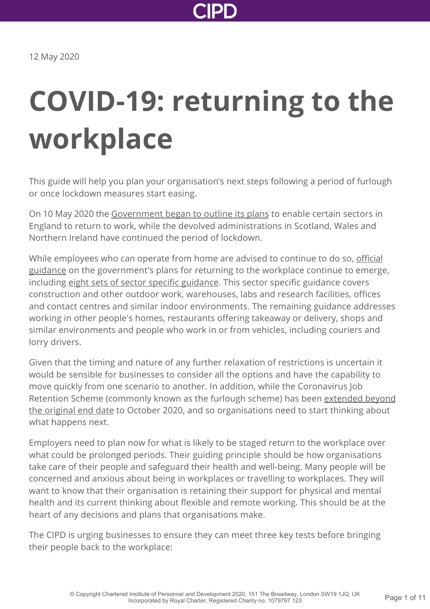

# **COVID-19: returning to the workplace**

This guide will help you plan your organisation's next steps following a period of furlough or once lockdown measures start easing.

On 10 May 2020 the [Government began to outline its plans](https://www.gov.uk/government/speeches/pm-address-to-the-nation-on-coronavirus-10-may-2020) to enable certain sectors in England to return to work, while the devolved administrations in Scotland, Wales and Northern Ireland have continued the period of lockdown.

While employees who can operate from home are advised to continue to do so, official [guidance on the government's plans for returning to the workplace continue to emerge](https://www.gov.uk/government/publications/staying-alert-and-safe-social-distancing), including [eight sets of sector specific guidance](https://www.gov.uk/guidance/working-safely-during-coronavirus-covid-19). This sector specific guidance covers construction and other outdoor work, warehouses, labs and research facilities, offices and contact centres and similar indoor environments. The remaining guidance addresses working in other people's homes, restaurants offering takeaway or delivery, shops and similar environments and people who work in or from vehicles, including couriers and lorry drivers.

Given that the timing and nature of any further relaxation of restrictions is uncertain it would be sensible for businesses to consider all the options and have the capability to move quickly from one scenario to another. In addition, while the Coronavirus Job [Retention Scheme \(commonly known as the furlough scheme\) has been extended beyond](https://www.bbc.co.uk/news/business-52634759) the original end date to October 2020, and so organisations need to start thinking about what happens next.

Employers need to plan now for what is likely to be staged return to the workplace over what could be prolonged periods. Their guiding principle should be how organisations take care of their people and safeguard their health and well-being. Many people will be concerned and anxious about being in workplaces or travelling to workplaces. They will want to know that their organisation is retaining their support for physical and mental health and its current thinking about flexible and remote working. This should be at the heart of any decisions and plans that organisations make.

The CIPD is urging businesses to ensure they can meet three key tests before bringing their people back to the workplace: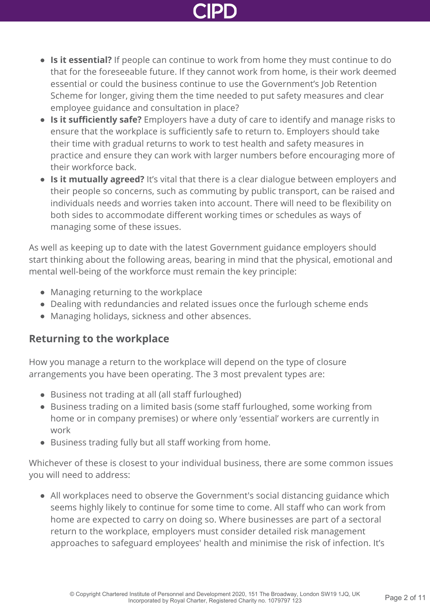- **Is it essential?** If people can continue to work from home they must continue to do that for the foreseeable future. If they cannot work from home, is their work deemed essential or could the business continue to use the Government's Job Retention Scheme for longer, giving them the time needed to put safety measures and clear employee guidance and consultation in place?
- **Is it sufficiently safe?** Employers have a duty of care to identify and manage risks to ensure that the workplace is sufficiently safe to return to. Employers should take their time with gradual returns to work to test health and safety measures in practice and ensure they can work with larger numbers before encouraging more of their workforce back.
- **Is it mutually agreed?** It's vital that there is a clear dialogue between employers and their people so concerns, such as commuting by public transport, can be raised and individuals needs and worries taken into account. There will need to be flexibility on both sides to accommodate different working times or schedules as ways of managing some of these issues.

As well as keeping up to date with the latest Government guidance employers should start thinking about the following areas, bearing in mind that the physical, emotional and mental well-being of the workforce must remain the key principle:

- Managing returning to the workplace
- Dealing with redundancies and related issues once the furlough scheme ends
- Managing holidays, sickness and other absences.

# **Returning to the workplace**

How you manage a return to the workplace will depend on the type of closure arrangements you have been operating. The 3 most prevalent types are:

- Business not trading at all (all staff furloughed)
- Business trading on a limited basis (some staff furloughed, some working from home or in company premises) or where only 'essential' workers are currently in work
- Business trading fully but all staff working from home.

Whichever of these is closest to your individual business, there are some common issues you will need to address:

All workplaces need to observe the Government's social distancing guidance which seems highly likely to continue for some time to come. All staff who can work from home are expected to carry on doing so. Where businesses are part of a sectoral return to the workplace, employers must consider detailed risk management approaches to safeguard employees' health and minimise the risk of infection. It's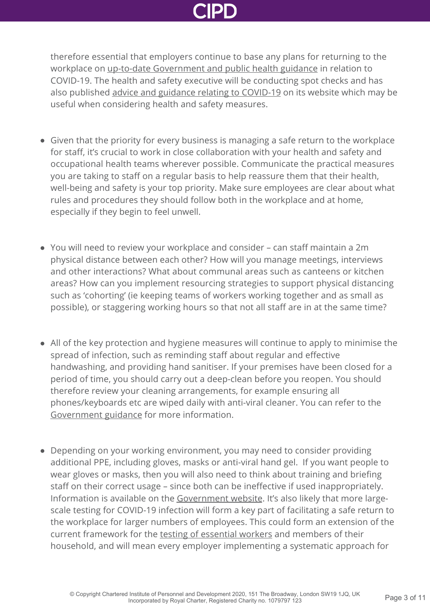

therefore essential that employers continue to base any plans for returning to the workplace on [up-to-date Government and public health guidance](https://www.gov.uk/government/publications/guidance-to-employers-and-businesses-about-covid-19/guidance-for-employers-and-businesses-on-coronavirus-covid-19#social-distancing-in-the-workplace---principles) in relation to COVID-19. The health and safety executive will be conducting spot checks and has also published [advice and guidance relating to COVID-19](https://www.hse.gov.uk/news/coronavirus.htm) on its website which may be useful when considering health and safety measures.

- Given that the priority for every business is managing a safe return to the workplace for staff, it's crucial to work in close collaboration with your health and safety and occupational health teams wherever possible. Communicate the practical measures you are taking to staff on a regular basis to help reassure them that their health, well-being and safety is your top priority. Make sure employees are clear about what rules and procedures they should follow both in the workplace and at home, especially if they begin to feel unwell.
- You will need to review your workplace and consider can staff maintain a 2m physical distance between each other? How will you manage meetings, interviews and other interactions? What about communal areas such as canteens or kitchen areas? How can you implement resourcing strategies to support physical distancing such as 'cohorting' (ie keeping teams of workers working together and as small as possible), or staggering working hours so that not all staff are in at the same time?
- All of the key protection and hygiene measures will continue to apply to minimise the spread of infection, such as reminding staff about regular and effective handwashing, and providing hand sanitiser. If your premises have been closed for a period of time, you should carry out a deep-clean before you reopen. You should therefore review your cleaning arrangements, for example ensuring all phones/keyboards etc are wiped daily with anti-viral cleaner. You can refer to the [Government guidance](https://www.gov.uk/government/publications/guidance-to-employers-and-businesses-about-covid-19/guidance-for-employers-and-businesses-on-coronavirus-covid-19) for more information.
- Depending on your working environment, you may need to consider providing additional PPE, including gloves, masks or anti-viral hand gel. If you want people to wear gloves or masks, then you will also need to think about training and briefing staff on their correct usage – since both can be ineffective if used inappropriately. Information is available on the [Government website](https://www.gov.uk/government/publications/wuhan-novel-coronavirus-infection-prevention-and-control/covid-19-personal-protective-equipment-ppe). It's also likely that more largescale testing for COVID-19 infection will form a key part of facilitating a safe return to the workplace for larger numbers of employees. This could form an extension of the current framework for the [testing of essential workers](https://www.gov.uk/guidance/coronavirus-covid-19-getting-tested) and members of their household, and will mean every employer implementing a systematic approach for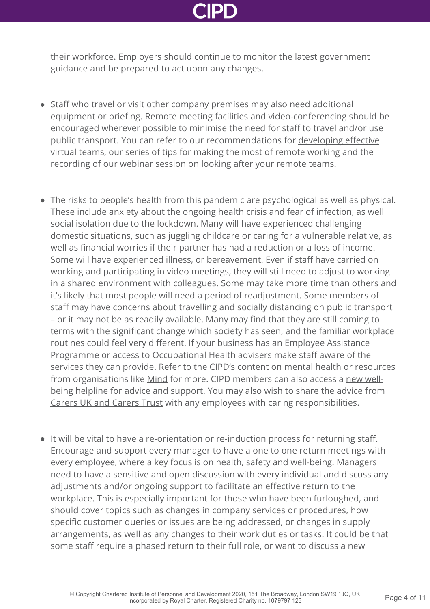their workforce. Employers should continue to monitor the latest government guidance and be prepared to act upon any changes.

- Staff who travel or visit other company premises may also need additional equipment or briefing. Remote meeting facilities and video-conferencing should be encouraged wherever possible to minimise the need for staff to travel and/or use [public transport. You can refer to our recommendations for developing effective](https://www.cipd.co.uk/knowledge/fundamentals/relations/flexible-working/developing-virtual-teams) virtual teams, our series of [tips for making the most of remote working](https://www.cipd.co.uk/knowledge/fundamentals/relations/flexible-working/remote-working-top-tips) and the recording of our [webinar session on looking after your remote teams](http://www.cipd.co.uk/news-views/coronavirus/webinars/health-well-being-remote-teams-20-april-2020/).
- The risks to people's health from this pandemic are psychological as well as physical. These include anxiety about the ongoing health crisis and fear of infection, as well social isolation due to the lockdown. Many will have experienced challenging domestic situations, such as juggling childcare or caring for a vulnerable relative, as well as financial worries if their partner has had a reduction or a loss of income. Some will have experienced illness, or bereavement. Even if staff have carried on working and participating in video meetings, they will still need to adjust to working in a shared environment with colleagues. Some may take more time than others and it's likely that most people will need a period of readjustment. Some members of staff may have concerns about travelling and socially distancing on public transport – or it may not be as readily available. Many may find that they are still coming to terms with the significant change which society has seen, and the familiar workplace routines could feel very different. If your business has an Employee Assistance Programme or access to Occupational Health advisers make staff aware of the services they can provide. Refer to the CIPD's content on mental health or resources [from organisations like M](https://www.cipd.co.uk/membership/benefits/wellbeing-helpline-services)[ind](https://www.mind.org.uk/information-support/coronavirus/coronavirus-and-your-wellbeing/) [for more. CIPD members can also access a new well](https://www.cipd.co.uk/membership/benefits/wellbeing-helpline-services)[being helpline for advice and support. You may also wish to share the advice from](https://www.carersuk.org/for-professionals/policy/policy-library/statement-on-covid-19-coronavirus) Carers UK and Carers Trust with any employees with caring responsibilities.
- It will be vital to have a re-orientation or re-induction process for returning staff. Encourage and support every manager to have a one to one return meetings with every employee, where a key focus is on health, safety and well-being. Managers need to have a sensitive and open discussion with every individual and discuss any adjustments and/or ongoing support to facilitate an effective return to the workplace. This is especially important for those who have been furloughed, and should cover topics such as changes in company services or procedures, how specific customer queries or issues are being addressed, or changes in supply arrangements, as well as any changes to their work duties or tasks. It could be that some staff require a phased return to their full role, or want to discuss a new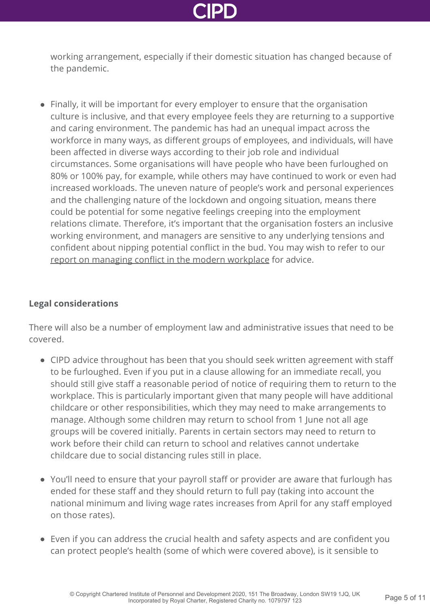working arrangement, especially if their domestic situation has changed because of the pandemic.

Finally, it will be important for every employer to ensure that the organisation culture is inclusive, and that every employee feels they are returning to a supportive and caring environment. The pandemic has had an unequal impact across the workforce in many ways, as different groups of employees, and individuals, will have been affected in diverse ways according to their job role and individual circumstances. Some organisations will have people who have been furloughed on 80% or 100% pay, for example, while others may have continued to work or even had increased workloads. The uneven nature of people's work and personal experiences and the challenging nature of the lockdown and ongoing situation, means there could be potential for some negative feelings creeping into the employment relations climate. Therefore, it's important that the organisation fosters an inclusive working environment, and managers are sensitive to any underlying tensions and confident about nipping potential conflict in the bud. You may wish to refer to our [report on managing conflict in the modern workplace](http://www.cipd.co.uk/knowledge/fundamentals/relations/disputes/managing-workplace-conflict-report/) for advice.

### **Legal considerations**

There will also be a number of employment law and administrative issues that need to be covered.

- CIPD advice throughout has been that you should seek written agreement with staff to be furloughed. Even if you put in a clause allowing for an immediate recall, you should still give staff a reasonable period of notice of requiring them to return to the workplace. This is particularly important given that many people will have additional childcare or other responsibilities, which they may need to make arrangements to manage. Although some children may return to school from 1 June not all age groups will be covered initially. Parents in certain sectors may need to return to work before their child can return to school and relatives cannot undertake childcare due to social distancing rules still in place.
- You'll need to ensure that your payroll staff or provider are aware that furlough has ended for these staff and they should return to full pay (taking into account the national minimum and living wage rates increases from April for any staff employed on those rates).
- Even if you can address the crucial health and safety aspects and are confident you can protect people's health (some of which were covered above), is it sensible to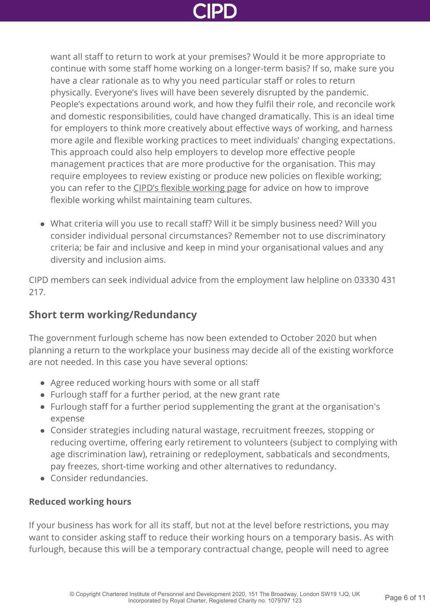want all staff to return to work at your premises? Would it be more appropriate to continue with some staff home working on a longer-term basis? If so, make sure you have a clear rationale as to why you need particular staff or roles to return physically. Everyone's lives will have been severely disrupted by the pandemic. People's expectations around work, and how they fulfil their role, and reconcile work and domestic responsibilities, could have changed dramatically. This is an ideal time for employers to think more creatively about effective ways of working, and harness more agile and flexible working practices to meet individuals' changing expectations. This approach could also help employers to develop more effective people management practices that are more productive for the organisation. This may require employees to review existing or produce new policies on flexible working; you can refer to the [CIPD's flexible working page](http://www.cipd.co.uk/knowledge/fundamentals/relations/flexible-working/) for advice on how to improve flexible working whilst maintaining team cultures.

What criteria will you use to recall staff? Will it be simply business need? Will you consider individual personal circumstances? Remember not to use discriminatory criteria; be fair and inclusive and keep in mind your organisational values and any diversity and inclusion aims.

CIPD members can seek individual advice from the employment law helpline on 03330 431 217.

# **Short term working/Redundancy**

The government furlough scheme has now been extended to October 2020 but when planning a return to the workplace your business may decide all of the existing workforce are not needed. In this case you have several options:

- Agree reduced working hours with some or all staff
- Furlough staff for a further period, at the new grant rate
- Furlough staff for a further period supplementing the grant at the organisation's expense
- Consider strategies including natural wastage, recruitment freezes, stopping or reducing overtime, offering early retirement to volunteers (subject to complying with age discrimination law), retraining or redeployment, sabbaticals and secondments, pay freezes, short-time working and other alternatives to redundancy.
- Consider redundancies.

### **Reduced working hours**

If your business has work for all its staff, but not at the level before restrictions, you may want to consider asking staff to reduce their working hours on a temporary basis. As with furlough, because this will be a temporary contractual change, people will need to agree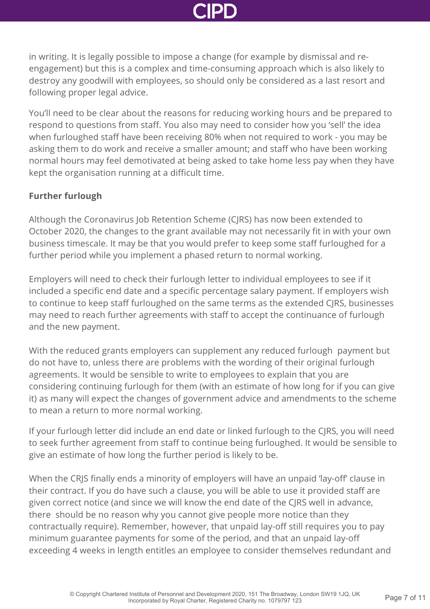in writing. It is legally possible to impose a change (for example by dismissal and reengagement) but this is a complex and time-consuming approach which is also likely to destroy any goodwill with employees, so should only be considered as a last resort and following proper legal advice.

You'll need to be clear about the reasons for reducing working hours and be prepared to respond to questions from staff. You also may need to consider how you 'sell' the idea when furloughed staff have been receiving 80% when not required to work - you may be asking them to do work and receive a smaller amount; and staff who have been working normal hours may feel demotivated at being asked to take home less pay when they have kept the organisation running at a difficult time.

### **Further furlough**

Although the Coronavirus Job Retention Scheme (CJRS) has now been extended to October 2020, the changes to the grant available may not necessarily fit in with your own business timescale. It may be that you would prefer to keep some staff furloughed for a further period while you implement a phased return to normal working.

Employers will need to check their furlough letter to individual employees to see if it included a specific end date and a specific percentage salary payment. If employers wish to continue to keep staff furloughed on the same terms as the extended CJRS, businesses may need to reach further agreements with staff to accept the continuance of furlough and the new payment.

With the reduced grants employers can supplement any reduced furlough payment but do not have to, unless there are problems with the wording of their original furlough agreements. It would be sensible to write to employees to explain that you are considering continuing furlough for them (with an estimate of how long for if you can give it) as many will expect the changes of government advice and amendments to the scheme to mean a return to more normal working.

If your furlough letter did include an end date or linked furlough to the CJRS, you will need to seek further agreement from staff to continue being furloughed. It would be sensible to give an estimate of how long the further period is likely to be.

When the CRJS finally ends a minority of employers will have an unpaid 'lay-off' clause in their contract. If you do have such a clause, you will be able to use it provided staff are given correct notice (and since we will know the end date of the CJRS well in advance, there should be no reason why you cannot give people more notice than they contractually require). Remember, however, that unpaid lay-off still requires you to pay minimum guarantee payments for some of the period, and that an unpaid lay-off exceeding 4 weeks in length entitles an employee to consider themselves redundant and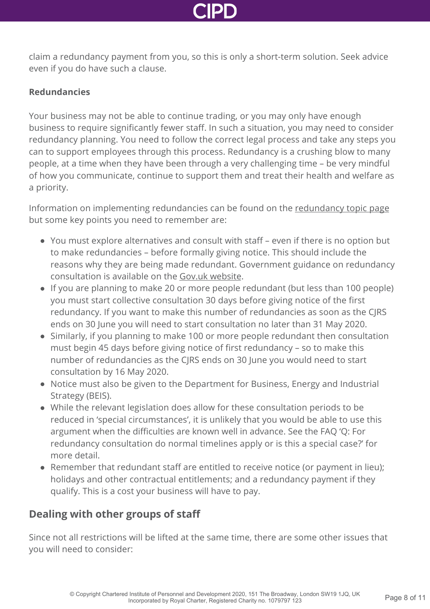claim a redundancy payment from you, so this is only a short-term solution. Seek advice even if you do have such a clause.

### **Redundancies**

Your business may not be able to continue trading, or you may only have enough business to require significantly fewer staff. In such a situation, you may need to consider redundancy planning. You need to follow the correct legal process and take any steps you can to support employees through this process. Redundancy is a crushing blow to many people, at a time when they have been through a very challenging time – be very mindful of how you communicate, continue to support them and treat their health and welfare as a priority.

Information on implementing redundancies can be found on the [redundancy topic page](http://www.cipd.co.uk/knowledge/fundamentals/emp-law/redundancy/) but some key points you need to remember are:

- You must explore alternatives and consult with staff even if there is no option but to make redundancies – before formally giving notice. This should include the reasons why they are being made redundant. Government guidance on redundancy consultation is available on the [Gov.uk website](https://www.gov.uk/redundancy-your-rights/consultation).
- If you are planning to make 20 or more people redundant (but less than 100 people) you must start collective consultation 30 days before giving notice of the first redundancy. If you want to make this number of redundancies as soon as the CJRS ends on 30 June you will need to start consultation no later than 31 May 2020.
- Similarly, if you planning to make 100 or more people redundant then consultation must begin 45 days before giving notice of first redundancy – so to make this number of redundancies as the CJRS ends on 30 June you would need to start consultation by 16 May 2020.
- Notice must also be given to the Department for Business, Energy and Industrial Strategy (BEIS).
- While the relevant legislation does allow for these consultation periods to be reduced in 'special circumstances', it is unlikely that you would be able to use this argument when the difficulties are known well in advance. See the FAQ 'Q: For redundancy consultation do normal timelines apply or is this a special case?' for more detail.
- Remember that redundant staff are entitled to receive notice (or payment in lieu); holidays and other contractual entitlements; and a redundancy payment if they qualify. This is a cost your business will have to pay.

# **Dealing with other groups of staff**

Since not all restrictions will be lifted at the same time, there are some other issues that you will need to consider: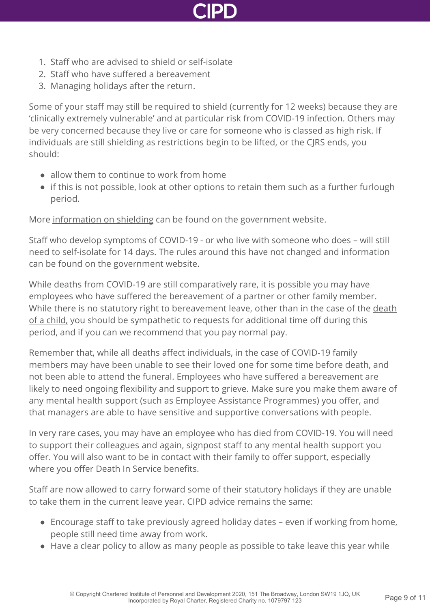

- 1. Staff who are advised to shield or self-isolate
- 2. Staff who have suffered a bereavement
- 3. Managing holidays after the return.

Some of your staff may still be required to shield (currently for 12 weeks) because they are 'clinically extremely vulnerable' and at particular risk from COVID-19 infection. Others may be very concerned because they live or care for someone who is classed as high risk. If individuals are still shielding as restrictions begin to be lifted, or the CJRS ends, you should:

- allow them to continue to work from home
- $\bullet$  if this is not possible, look at other options to retain them such as a further furlough period.

More [information on shielding](https://www.gov.uk/government/publications/guidance-on-shielding-and-protecting-extremely-vulnerable-persons-from-covid-19/guidance-on-shielding-and-protecting-extremely-vulnerable-persons-from-covid-19) can be found on the government website.

Staff who develop symptoms of COVID-19 - or who live with someone who does – will still need to self-isolate for 14 days. The rules around this have not changed and information can be found on the government website.

While deaths from COVID-19 are still comparatively rare, it is possible you may have employees who have suffered the bereavement of a partner or other family member. [While there is no statutory right to bereavement leave, other than in the case of the death](https://www.gov.uk/parental-bereavement-pay-leave) of a child, you should be sympathetic to requests for additional time off during this period, and if you can we recommend that you pay normal pay.

Remember that, while all deaths affect individuals, in the case of COVID-19 family members may have been unable to see their loved one for some time before death, and not been able to attend the funeral. Employees who have suffered a bereavement are likely to need ongoing flexibility and support to grieve. Make sure you make them aware of any mental health support (such as Employee Assistance Programmes) you offer, and that managers are able to have sensitive and supportive conversations with people.

In very rare cases, you may have an employee who has died from COVID-19. You will need to support their colleagues and again, signpost staff to any mental health support you offer. You will also want to be in contact with their family to offer support, especially where you offer Death In Service benefits.

Staff are now allowed to carry forward some of their statutory holidays if they are unable to take them in the current leave year. CIPD advice remains the same:

- Encourage staff to take previously agreed holiday dates even if working from home, people still need time away from work.
- Have a clear policy to allow as many people as possible to take leave this year while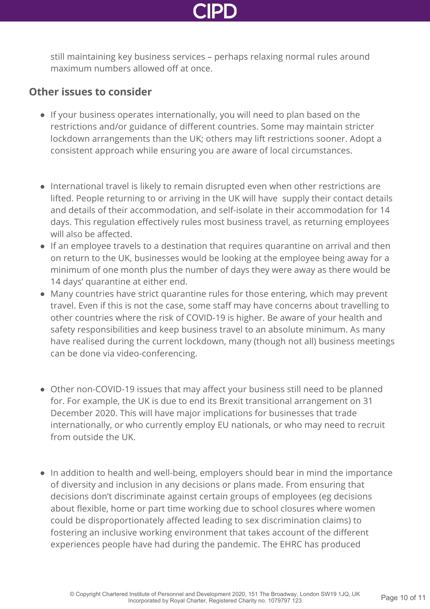

still maintaining key business services – perhaps relaxing normal rules around maximum numbers allowed off at once.

### **Other issues to consider**

- If your business operates internationally, you will need to plan based on the restrictions and/or guidance of different countries. Some may maintain stricter lockdown arrangements than the UK; others may lift restrictions sooner. Adopt a consistent approach while ensuring you are aware of local circumstances.
- International travel is likely to remain disrupted even when other restrictions are lifted. People returning to or arriving in the UK will have supply their contact details and details of their accommodation, and self-isolate in their accommodation for 14 days. This regulation effectively rules most business travel, as returning employees will also be affected.
- If an employee travels to a destination that requires quarantine on arrival and then on return to the UK, businesses would be looking at the employee being away for a minimum of one month plus the number of days they were away as there would be 14 days' quarantine at either end.
- Many countries have strict quarantine rules for those entering, which may prevent travel. Even if this is not the case, some staff may have concerns about travelling to other countries where the risk of COVID-19 is higher. Be aware of your health and safety responsibilities and keep business travel to an absolute minimum. As many have realised during the current lockdown, many (though not all) business meetings can be done via video-conferencing.
- Other non-COVID-19 issues that may affect your business still need to be planned for. For example, the UK is due to end its Brexit transitional arrangement on 31 December 2020. This will have major implications for businesses that trade internationally, or who currently employ EU nationals, or who may need to recruit from outside the UK.
- In addition to health and well-being, employers should bear in mind the importance of diversity and inclusion in any decisions or plans made. From ensuring that decisions don't discriminate against certain groups of employees (eg decisions about flexible, home or part time working due to school closures where women could be disproportionately affected leading to sex discrimination claims) to fostering an inclusive working environment that takes account of the different experiences people have had during the pandemic. The EHRC has produced